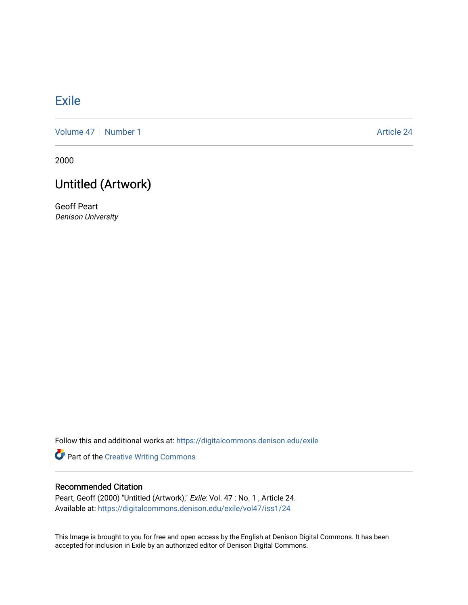## **[Exile](https://digitalcommons.denison.edu/exile)**

[Volume 47](https://digitalcommons.denison.edu/exile/vol47) | [Number 1](https://digitalcommons.denison.edu/exile/vol47/iss1) Article 24

2000

## Untitled (Artwork)

Geoff Peart Denison University

Follow this and additional works at: [https://digitalcommons.denison.edu/exile](https://digitalcommons.denison.edu/exile?utm_source=digitalcommons.denison.edu%2Fexile%2Fvol47%2Fiss1%2F24&utm_medium=PDF&utm_campaign=PDFCoverPages) 

Part of the [Creative Writing Commons](http://network.bepress.com/hgg/discipline/574?utm_source=digitalcommons.denison.edu%2Fexile%2Fvol47%2Fiss1%2F24&utm_medium=PDF&utm_campaign=PDFCoverPages) 

## Recommended Citation

Peart, Geoff (2000) "Untitled (Artwork)," Exile: Vol. 47 : No. 1, Article 24. Available at: [https://digitalcommons.denison.edu/exile/vol47/iss1/24](https://digitalcommons.denison.edu/exile/vol47/iss1/24?utm_source=digitalcommons.denison.edu%2Fexile%2Fvol47%2Fiss1%2F24&utm_medium=PDF&utm_campaign=PDFCoverPages)

This Image is brought to you for free and open access by the English at Denison Digital Commons. It has been accepted for inclusion in Exile by an authorized editor of Denison Digital Commons.